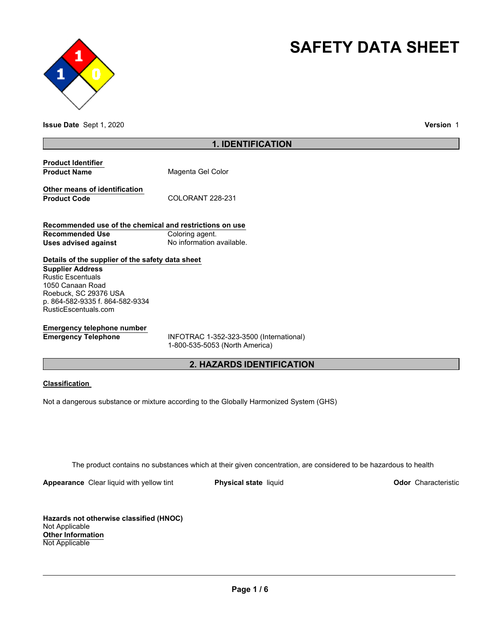



**Issue Date** Sept 1, 2020 **Version** 1

# **1. IDENTIFICATION**

| <b>Product Identifier</b> |                   |
|---------------------------|-------------------|
| <b>Product Name</b>       | Magenta Gel Color |

**Other means of identification** Product Code COLORANT 228-231

**Recommended use of the chemical and restrictions on use Recommended Use Coloring agent. Uses advised against No information available.** 

# **Details of the supplier of the safety data sheet**

**Supplier Address** Rustic Escentuals 1050 Canaan Road Roebuck, SC 29376 USA p. 864-582-9335 f. 864-582-9334 RusticEscentuals.com

# **Emergency telephone number**

**Emergency Telephone** INFOTRAC 1-352-323-3500 (International) 1-800-535-5053 (North America)

# **2. HAZARDS IDENTIFICATION**

## **Classification**

Not a dangerous substance or mixture according to the Globally Harmonized System (GHS)

The product contains no substances which at their given concentration, are considered to be hazardous to health

**Appearance** Clear liquid with yellow tint **Physical state** liquid **Physical state Construction Odor** Characteristic

**Hazards not otherwise classified (HNOC)** Not Applicable **Other Information** Not Applicable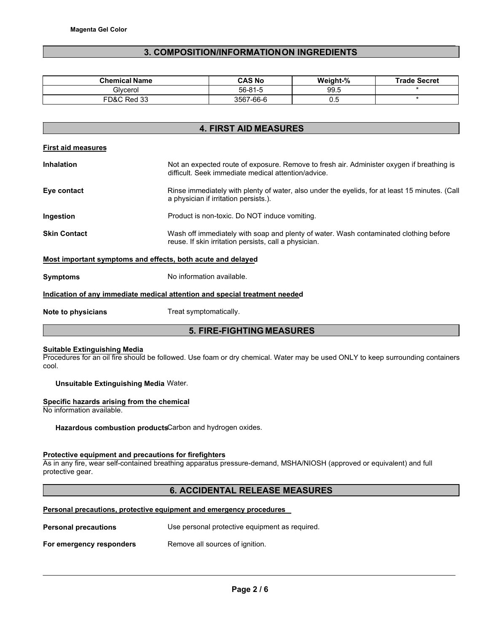## **3. COMPOSITION/INFORMATION ON INGREDIENTS**

| <b>Chemical Name</b> | <b>CAS No</b> | Weight-% | <b>Trade Secret</b> |
|----------------------|---------------|----------|---------------------|
| Glvcerol             | $56 - 81 - 5$ | 99.5     |                     |
| FD&C Red 33          | 3567-66-6     | 0.5      |                     |

# **4. FIRST AID MEASURES**

|  | <b>First aid measures</b> |
|--|---------------------------|
|  |                           |

| <b>Inhalation</b>   | Not an expected route of exposure. Remove to fresh air. Administer oxygen if breathing is<br>difficult. Seek immediate medical attention/advice. |  |  |
|---------------------|--------------------------------------------------------------------------------------------------------------------------------------------------|--|--|
| Eye contact         | Rinse immediately with plenty of water, also under the eyelids, for at least 15 minutes. (Call<br>a physician if irritation persists.).          |  |  |
| Ingestion           | Product is non-toxic. Do NOT induce vomiting.                                                                                                    |  |  |
| <b>Skin Contact</b> | Wash off immediately with soap and plenty of water. Wash contaminated clothing before<br>reuse. If skin irritation persists, call a physician.   |  |  |
|                     | Most important symptoms and effects, both acute and delayed                                                                                      |  |  |

**Symptoms** No information available.

## **Indication of any immediate medical attention and special treatment needed**

**Note to physicians Treat symptomatically.** 

## **5. FIRE-FIGHTING MEASURES**

### **Suitable Extinguishing Media**

Procedures for an oil fire should be followed. Use foam or dry chemical. Water may be used ONLY to keep surrounding containers cool.

**Unsuitable Extinguishing Media** Water.

## **Specific hazards arising from the chemical**

No information available.

**Hazardous combustion products**Carbon and hydrogen oxides.

## **Protective equipment and precautions for firefighters**

As in any fire, wear self-contained breathing apparatus pressure-demand, MSHA/NIOSH (approved or equivalent) and full protective gear.

## **6. ACCIDENTAL RELEASE MEASURES**

## **Personal precautions, protective equipment and emergency procedures**

| <b>Personal precautions</b> | Use personal protective equipment as required. |
|-----------------------------|------------------------------------------------|
| For emergency responders    | Remove all sources of ignition.                |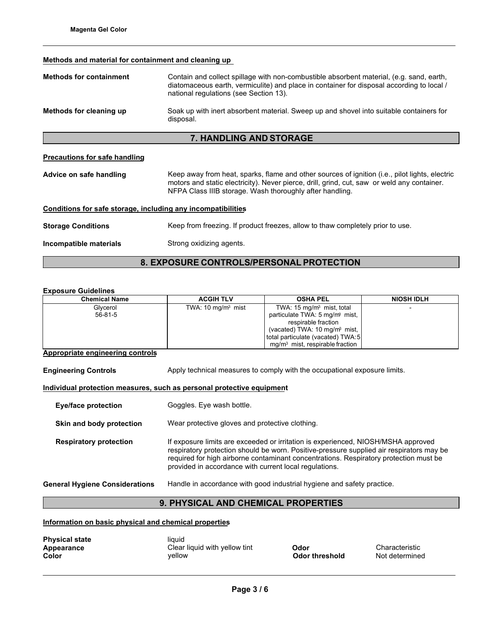## **Methods and material for containment and cleaning up**

| <b>Methods for containment</b>                                                                                           | Contain and collect spillage with non-combustible absorbent material, (e.g. sand, earth,<br>diatomaceous earth, vermiculite) and place in container for disposal according to local /<br>national regulations (see Section 13). |  |
|--------------------------------------------------------------------------------------------------------------------------|---------------------------------------------------------------------------------------------------------------------------------------------------------------------------------------------------------------------------------|--|
| Methods for cleaning up                                                                                                  | Soak up with inert absorbent material. Sweep up and shovel into suitable containers for<br>disposal.                                                                                                                            |  |
|                                                                                                                          | <b>7. HANDLING AND STORAGE</b>                                                                                                                                                                                                  |  |
| Precautions for safe handling<br>Advice on safe handling                                                                 | Keep away from heat, sparks, flame and other sources of ignition (i.e., pilot lights, electric<br>motors and static electricity). Never pierce, drill, grind, cut, saw or weld any container.                                   |  |
| NFPA Class IIIB storage. Wash thoroughly after handling.<br>Conditions for safe storage, including any incompatibilities |                                                                                                                                                                                                                                 |  |
| <b>Storage Conditions</b>                                                                                                | Keep from freezing. If product freezes, allow to thaw completely prior to use.                                                                                                                                                  |  |
| Incompatible materials                                                                                                   | Strong oxidizing agents.                                                                                                                                                                                                        |  |

# **8. EXPOSURE CONTROLS/PERSONAL PROTECTION**

## **Exposure Guidelines**

| <b>Chemical Name</b> | <b>ACGIH TLV</b>            | <b>OSHA PEL</b>                            | <b>NIOSH IDLH</b> |
|----------------------|-----------------------------|--------------------------------------------|-------------------|
| Glycerol             | TWA: $10 \text{ mg/m}$ mist | TWA: $15 \text{ mg/m}$ mist, total         |                   |
| $56 - 81 - 5$        |                             | particulate TWA: 5 mg/m <sup>3</sup> mist, |                   |
|                      |                             | respirable fraction                        |                   |
|                      |                             | (vacated) TWA: 10 mg/m <sup>3</sup> mist,  |                   |
|                      |                             | total particulate (vacated) TWA:5          |                   |
|                      |                             | $mq/m3$ mist, respirable fraction          |                   |

## **Appropriate engineering controls**

**Engineering Controls Apply technical measures to comply with the occupational exposure limits.** 

## **Individual protection measures, such as personal protective equipment**

| <b>Eye/face protection</b>            | Goggles. Eye wash bottle.                                                                                                                                                                                                                                                                                                        |
|---------------------------------------|----------------------------------------------------------------------------------------------------------------------------------------------------------------------------------------------------------------------------------------------------------------------------------------------------------------------------------|
| Skin and body protection              | Wear protective gloves and protective clothing.                                                                                                                                                                                                                                                                                  |
| <b>Respiratory protection</b>         | If exposure limits are exceeded or irritation is experienced, NIOSH/MSHA approved<br>respiratory protection should be worn. Positive-pressure supplied air respirators may be<br>required for high airborne contaminant concentrations. Respiratory protection must be<br>provided in accordance with current local regulations. |
| <b>General Hygiene Considerations</b> | Handle in accordance with good industrial hygiene and safety practice.                                                                                                                                                                                                                                                           |

# **9. PHYSICAL AND CHEMICAL PROPERTIES**

**Information on basic physical and chemical properties**

| <b>Physical state</b><br>Appearance | liquid<br>Clear liquid with yellow tint | Odor                  |
|-------------------------------------|-----------------------------------------|-----------------------|
| Color                               | vellow                                  | <b>Odor threshold</b> |

**Appearance Characteristic**<br>**Apple SC**<br>**Apple Characteristic**<br>**Characteristic Not determined**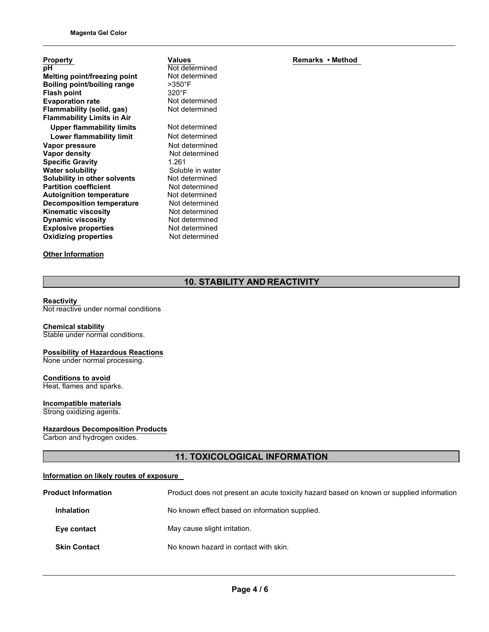| <b>Property</b>                     |
|-------------------------------------|
| рH                                  |
| <b>Melting point/freezing point</b> |
| Boiling point/boiling range         |
| <b>Flash point</b>                  |
| <b>Evaporation rate</b>             |
| Flammability (solid, gas)           |
| <b>Flammability Limits in Air</b>   |
| <b>Upper flammability limits</b>    |
| Lower flammability limit            |
| Vapor pressure                      |
| Vapor density                       |
| <b>Specific Gravity</b>             |
| <b>Water solubility</b>             |
| <b>Solubility in other solvents</b> |
| <b>Partition coefficient</b>        |
| <b>Autoignition temperature</b>     |
| <b>Decomposition temperature</b>    |
| <b>Kinematic viscosity</b>          |
| <b>Dynamic viscosity</b>            |
| <b>Explosive properties</b>         |
| <b>Oxidizing properties</b>         |
|                                     |

## **Other Information**

**Values** Not determined Not determined >350°F 320°F Not determined Not determined **Not determined Not determined Not determined Not determined Specific Gravity** 1.261 Soluble in water Not determined **Not determined Not determined Not determined Not determined Not determined Not determined Not determined** 

**Remarks • Method**

# **10. STABILITY AND REACTIVITY**

#### **Reactivity**

Not reactive under normal conditions

# **Chemical stability**

Stable under normal conditions.

## **Possibility of Hazardous Reactions** None under normal processing.

**Conditions to avoid** Heat, flames and sparks.

# **Incompatible materials**

Strong oxidizing agents.

## **Hazardous Decomposition Products**

Carbon and hydrogen oxides.

# **11. TOXICOLOGICAL INFORMATION**

## **Information on likely routes of exposure**

| <b>Product Information</b> | Product does not present an acute toxicity hazard based on known or supplied information |
|----------------------------|------------------------------------------------------------------------------------------|
| <b>Inhalation</b>          | No known effect based on information supplied.                                           |
| Eye contact                | May cause slight irritation.                                                             |
| <b>Skin Contact</b>        | No known hazard in contact with skin.                                                    |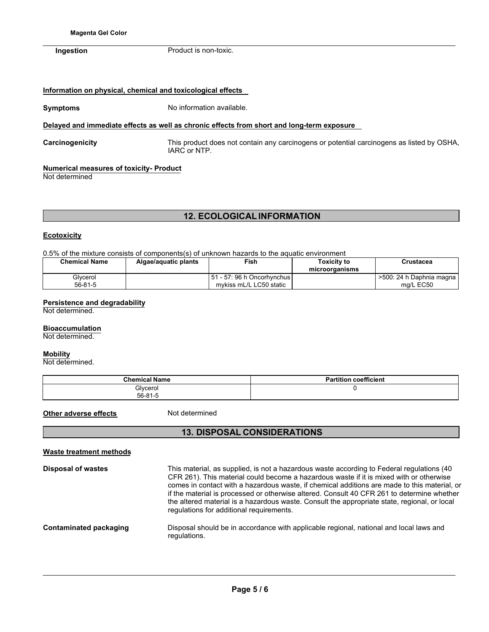**Ingestion** Product is non-toxic.

## **Information on physical, chemical and toxicological effects**

**Symptoms** No information available.

## **Delayed and immediate effects as well as chronic effects from short and long-term exposure**

**Carcinogenicity** This product does not contain any carcinogens or potential carcinogens as listed by OSHA, IARC or NTP.

## **Numerical measures of toxicity- Product**

Not determined

# **12. ECOLOGICAL INFORMATION**

## **Ecotoxicity**

0.5% of the mixture consists of components(s) of unknown hazards to the aquatic environment

| <b>Chemical Name</b> | Algae/aguatic plants | Fish                                                      | Toxicitv to<br>microorganisms | Crustacea                               |
|----------------------|----------------------|-----------------------------------------------------------|-------------------------------|-----------------------------------------|
| Glvcerol<br>56-81-5  |                      | l 51 - 57: 96 h Oncorhvnchus l<br>mykiss mL/L LC50 static |                               | >500: 24 h Daphnia magna I<br>ma/L EC50 |

## **Persistence and degradability**

Not determined.

## **Bioaccumulation**

Not determined.

## **Mobility**

Not determined.

| <b>Chemical Name</b>      | <b>Partition coefficient</b> |
|---------------------------|------------------------------|
| Glycerol<br>$56 - 81 - 5$ |                              |

**Other adverse effects** Not determined

# **13. DISPOSAL CONSIDERATIONS**

| <b>Waste treatment methods</b> |                                                                                                                                                                                                                                                                                                                                                                                                                                                                                                                                |
|--------------------------------|--------------------------------------------------------------------------------------------------------------------------------------------------------------------------------------------------------------------------------------------------------------------------------------------------------------------------------------------------------------------------------------------------------------------------------------------------------------------------------------------------------------------------------|
| <b>Disposal of wastes</b>      | This material, as supplied, is not a hazardous waste according to Federal regulations (40<br>CFR 261). This material could become a hazardous waste if it is mixed with or otherwise<br>comes in contact with a hazardous waste, if chemical additions are made to this material, or<br>if the material is processed or otherwise altered. Consult 40 CFR 261 to determine whether<br>the altered material is a hazardous waste. Consult the appropriate state, regional, or local<br>regulations for additional requirements. |
| Contaminated packaging         | Disposal should be in accordance with applicable regional, national and local laws and<br>regulations.                                                                                                                                                                                                                                                                                                                                                                                                                         |